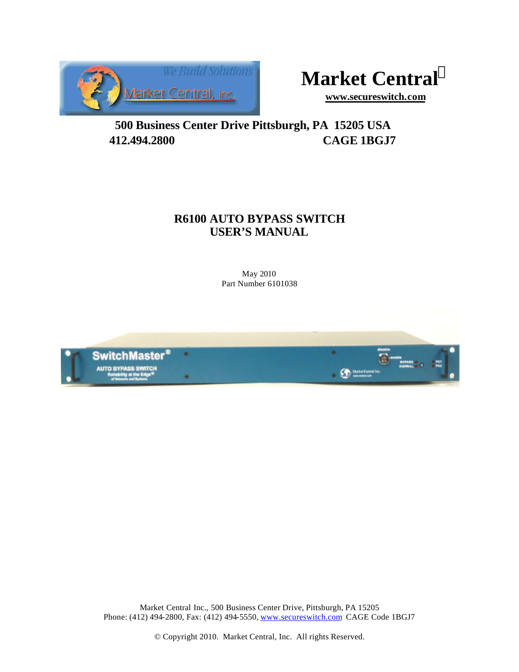



**www.secureswitch.com**

**500 Business Center Drive Pittsburgh, PA 15205 USA 412.494.2800 CAGE 1BGJ7**

### **R6100 AUTO BYPASS SWITCH USER'S MANUAL**

May 2010 Part Number 6101038



Market Central Inc., 500 Business Center Drive, Pittsburgh, PA 15205 Phone: (412) 494-2800, Fax: (412) 494-5550, www.secureswitch.com CAGE Code 1BGJ7

© Copyright 2010. Market Central, Inc. All rights Reserved.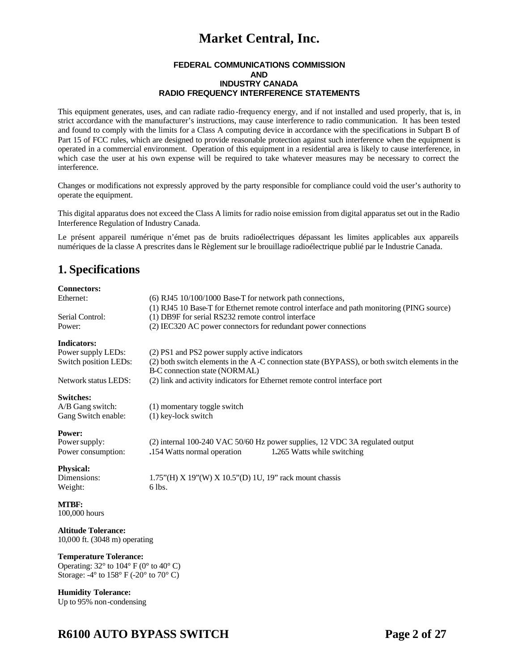#### **FEDERAL COMMUNICATIONS COMMISSION AND INDUSTRY CANADA RADIO FREQUENCY INTERFERENCE STATEMENTS**

This equipment generates, uses, and can radiate radio -frequency energy, and if not installed and used properly, that is, in strict accordance with the manufacturer's instructions, may cause interference to radio communication. It has been tested and found to comply with the limits for a Class A computing device in accordance with the specifications in Subpart B of Part 15 of FCC rules, which are designed to provide reasonable protection against such interference when the equipment is operated in a commercial environment. Operation of this equipment in a residential area is likely to cause interference, in which case the user at his own expense will be required to take whatever measures may be necessary to correct the interference.

Changes or modifications not expressly approved by the party responsible for compliance could void the user's authority to operate the equipment.

This digital apparatus does not exceed the Class A limits for radio noise emission from digital apparatus set out in the Radio Interference Regulation of Industry Canada.

Le présent appareil numérique n'émet pas de bruits radioélectriques dépassant les limites applicables aux appareils numériques de la classe A prescrites dans le Règlement sur le brouillage radioélectrique publié par le Industrie Canada.

### **1. Specifications**

| <b>Connectors:</b>                                                                                 |                                                                                               |
|----------------------------------------------------------------------------------------------------|-----------------------------------------------------------------------------------------------|
| Ethernet:                                                                                          | $(6)$ RJ45 10/100/1000 Base-T for network path connections,                                   |
|                                                                                                    | (1) RJ45 10 Base-T for Ethernet remote control interface and path monitoring (PING source)    |
| Serial Control:                                                                                    | (1) DB9F for serial RS232 remote control interface                                            |
| Power:                                                                                             | (2) IEC320 AC power connectors for redundant power connections                                |
| <b>Indicators:</b>                                                                                 |                                                                                               |
| Power supply LEDs:                                                                                 | (2) PS1 and PS2 power supply active indicators                                                |
| Switch position LEDs:                                                                              | (2) both switch elements in the A-C connection state (BYPASS), or both switch elements in the |
|                                                                                                    | B-C connection state (NORMAL)                                                                 |
| Network status LEDS:                                                                               | (2) link and activity indicators for Ethernet remote control interface port                   |
| <b>Switches:</b>                                                                                   |                                                                                               |
| A/B Gang switch:                                                                                   | (1) momentary toggle switch                                                                   |
| Gang Switch enable:                                                                                | $(1)$ key-lock switch                                                                         |
|                                                                                                    |                                                                                               |
| Power:                                                                                             |                                                                                               |
| Power supply:                                                                                      | (2) internal 100-240 VAC 50/60 Hz power supplies, 12 VDC 3A regulated output                  |
| Power consumption:                                                                                 | .154 Watts normal operation<br>1.265 Watts while switching                                    |
| <b>Physical:</b>                                                                                   |                                                                                               |
| Dimensions:                                                                                        | $1.75$ "(H) X 19"(W) X 10.5"(D) 1U, 19" rack mount chassis                                    |
| Weight:                                                                                            | 6 lbs.                                                                                        |
|                                                                                                    |                                                                                               |
| <b>MTBF:</b>                                                                                       |                                                                                               |
| 100,000 hours                                                                                      |                                                                                               |
|                                                                                                    |                                                                                               |
| <b>Altitude Tolerance:</b>                                                                         |                                                                                               |
| $10,000$ ft. $(3048 \text{ m})$ operating                                                          |                                                                                               |
| <b>Temperature Tolerance:</b><br>Operating: $32^{\circ}$ to $104^{\circ}$ F (0° to $40^{\circ}$ C) |                                                                                               |
| Storage: $-4^\circ$ to 158° F ( $-20^\circ$ to 70° C)                                              |                                                                                               |
| <b>Humidity Tolerance:</b>                                                                         |                                                                                               |

Up to 95% non-condensing

### **R6100 AUTO BYPASS SWITCH Page 2 of 27**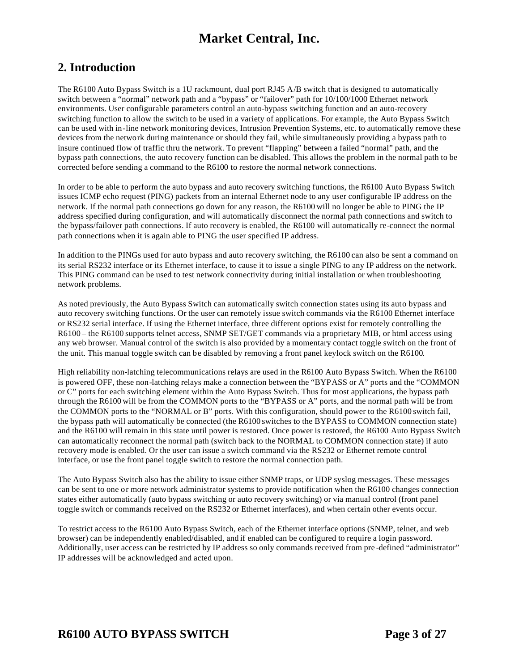### **2. Introduction**

The R6100 Auto Bypass Switch is a 1U rackmount, dual port RJ45 A/B switch that is designed to automatically switch between a "normal" network path and a "bypass" or "failover" path for  $10/100/1000$  Ethernet network environments. User configurable parameters control an auto-bypass switching function and an auto-recovery switching function to allow the switch to be used in a variety of applications. For example, the Auto Bypass Switch can be used with in-line network monitoring devices, Intrusion Prevention Systems, etc. to automatically remove these devices from the network during maintenance or should they fail, while simultaneously providing a bypass path to insure continued flow of traffic thru the network. To prevent "flapping" between a failed "normal" path, and the bypass path connections, the auto recovery function can be disabled. This allows the problem in the normal path to be corrected before sending a command to the R6100 to restore the normal network connections.

In order to be able to perform the auto bypass and auto recovery switching functions, the R6100 Auto Bypass Switch issues ICMP echo request (PING) packets from an internal Ethernet node to any user configurable IP address on the network. If the normal path connections go down for any reason, the R6100 will no longer be able to PING the IP address specified during configuration, and will automatically disconnect the normal path connections and switch to the bypass/failover path connections. If auto recovery is enabled, the R6100 will automatically re-connect the normal path connections when it is again able to PING the user specified IP address.

In addition to the PINGs used for auto bypass and auto recovery switching, the R6100 can also be sent a command on its serial RS232 interface or its Ethernet interface, to cause it to issue a single PING to any IP address on the network. This PING command can be used to test network connectivity during initial installation or when troubleshooting network problems.

As noted previously, the Auto Bypass Switch can automatically switch connection states using its auto bypass and auto recovery switching functions. Or the user can remotely issue switch commands via the R6100 Ethernet interface or RS232 serial interface. If using the Ethernet interface, three different options exist for remotely controlling the R6100 – the R6100 supports telnet access, SNMP SET/GET commands via a proprietary MIB, or html access using any web browser. Manual control of the switch is also provided by a momentary contact toggle switch on the front of the unit. This manual toggle switch can be disabled by removing a front panel keylock switch on the R6100.

High reliability non-latching telecommunications relays are used in the R6100 Auto Bypass Switch. When the R6100 is powered OFF, these non-latching relays make a connection between the "BYPASS or A" ports and the "COMMON or C" ports for each switching element within the Auto Bypass Switch. Thus for most applications, the bypass path through the R6100 will be from the COMMON ports to the "BYPASS or A" ports, and the normal path will be from the COMMON ports to the "NORMAL or B" ports. With this configuration, should power to the R6100 switch fail, the bypass path will automatically be connected (the R6100 switches to the BYPASS to COMMON connection state) and the R6100 will remain in this state until power is restored. Once power is restored, the R6100 Auto Bypass Switch can automatically reconnect the normal path (switch back to the NORMAL to COMMON connection state) if auto recovery mode is enabled. Or the user can issue a switch command via the RS232 or Ethernet remote control interface, or use the front panel toggle switch to restore the normal connection path.

The Auto Bypass Switch also has the ability to issue either SNMP traps, or UDP syslog messages. These messages can be sent to one or more network administrator systems to provide notification when the R6100 changes connection states either automatically (auto bypass switching or auto recovery switching) or via manual control (front panel toggle switch or commands received on the RS232 or Ethernet interfaces), and when certain other events occur.

To restrict access to the R6100 Auto Bypass Switch, each of the Ethernet interface options (SNMP, telnet, and web browser) can be independently enabled/disabled, and if enabled can be configured to require a login password. Additionally, user access can be restricted by IP address so only commands received from pre -defined "administrator" IP addresses will be acknowledged and acted upon.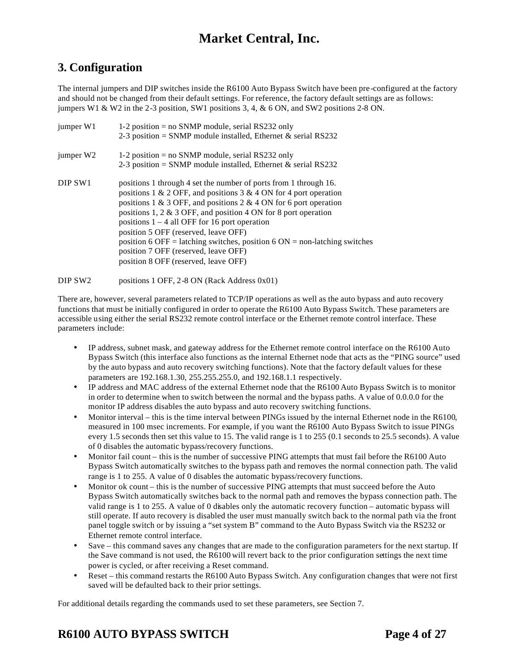### **3. Configuration**

The internal jumpers and DIP switches inside the R6100 Auto Bypass Switch have been pre-configured at the factory and should not be changed from their default settings. For reference, the factory default settings are as follows: jumpers W1 & W2 in the 2-3 position, SW1 positions 3, 4, & 6 ON, and SW2 positions 2-8 ON.

| jumper W1             | 1-2 position = $no$ SNMP module, serial RS232 only<br>2-3 position = SNMP module installed, Ethernet & serial RS232                                                                                                                                                                                                                                                                                                                                                                                                                   |
|-----------------------|---------------------------------------------------------------------------------------------------------------------------------------------------------------------------------------------------------------------------------------------------------------------------------------------------------------------------------------------------------------------------------------------------------------------------------------------------------------------------------------------------------------------------------------|
| jumper W <sub>2</sub> | 1-2 position = $no$ SNMP module, serial RS232 only<br>2-3 position = SNMP module installed, Ethernet & serial RS232                                                                                                                                                                                                                                                                                                                                                                                                                   |
| DIP SW1               | positions 1 through 4 set the number of ports from 1 through 16.<br>positions 1 & 2 OFF, and positions 3 & 4 ON for 4 port operation<br>positions 1 & 3 OFF, and positions 2 & 4 ON for 6 port operation<br>positions 1, 2 $\&$ 3 OFF, and position 4 ON for 8 port operation<br>positions $1 - 4$ all OFF for 16 port operation<br>position 5 OFF (reserved, leave OFF)<br>position 6 OFF = latching switches, position 6 ON = non-latching switches<br>position 7 OFF (reserved, leave OFF)<br>position 8 OFF (reserved, leave OFF) |

DIP SW2 positions 1 OFF, 2-8 ON (Rack Address 0x01)

There are, however, several parameters related to TCP/IP operations as well as the auto bypass and auto recovery functions that must be initially configured in order to operate the R6100 Auto Bypass Switch. These parameters are accessible using either the serial RS232 remote control interface or the Ethernet remote control interface. These parameters include:

- IP address, subnet mask, and gateway address for the Ethernet remote control interface on the R6100 Auto Bypass Switch (this interface also functions as the internal Ethernet node that acts as the "PING source" used by the auto bypass and auto recovery switching functions). Note that the factory default values for these parameters are 192.168.1.30, 255.255.255.0, and 192.168.1.1 respectively.
- IP address and MAC address of the external Ethernet node that the R6100 Auto Bypass Switch is to monitor in order to determine when to switch between the normal and the bypass paths. A value of 0.0.0.0 for the monitor IP address disables the auto bypass and auto recovery switching functions.
- Monitor interval this is the time interval between PINGs issued by the internal Ethernet node in the R6100, measured in 100 msec increments. For example, if you want the R6100 Auto Bypass Switch to issue PINGs every 1.5 seconds then set this value to 15. The valid range is 1 to 255 (0.1 seconds to 25.5 seconds). A value of 0 disables the automatic bypass/recovery functions.
- Monitor fail count this is the number of successive PING attempts that must fail before the R6100 Auto Bypass Switch automatically switches to the bypass path and removes the normal connection path. The valid range is 1 to 255. A value of 0 disables the automatic bypass/recovery functions.
- Monitor ok count this is the number of successive PING attempts that must succeed before the Auto Bypass Switch automatically switches back to the normal path and removes the bypass connection path. The valid range is 1 to 255. A value of 0 disables only the automatic recovery function – automatic bypass will still operate. If auto recovery is disabled the user must manually switch back to the normal path via the front panel toggle switch or by issuing a "set system B" command to the Auto Bypass Switch via the RS232 or Ethernet remote control interface.
- Save this command saves any changes that are made to the configuration parameters for the next startup. If the Save command is not used, the R6100 will revert back to the prior configuration settings the next time power is cycled, or after receiving a Reset command.
- Reset this command restarts the R6100 Auto Bypass Switch. Any configuration changes that were not first saved will be defaulted back to their prior settings.

For additional details regarding the commands used to set these parameters, see Section 7.

# **R6100 AUTO BYPASS SWITCH Page 4 of 27**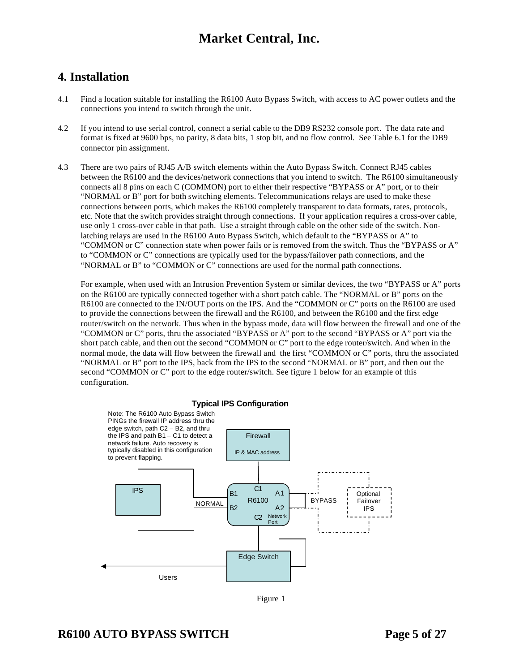### **4. Installation**

- 4.1 Find a location suitable for installing the R6100 Auto Bypass Switch, with access to AC power outlets and the connections you intend to switch through the unit.
- 4.2 If you intend to use serial control, connect a serial cable to the DB9 RS232 console port. The data rate and format is fixed at 9600 bps, no parity, 8 data bits, 1 stop bit, and no flow control. See Table 6.1 for the DB9 connector pin assignment.
- 4.3 There are two pairs of RJ45 A/B switch elements within the Auto Bypass Switch. Connect RJ45 cables between the R6100 and the devices/network connections that you intend to switch. The R6100 simultaneously connects all 8 pins on each C (COMMON) port to either their respective "BYPASS or A" port, or to their "NORMAL or B" port for both switching elements. Telecommunications relays are used to make these connections between ports, which makes the R6100 completely transparent to data formats, rates, protocols, etc. Note that the switch provides straight through connections. If your application requires a cross-over cable, use only 1 cross-over cable in that path. Use a straight through cable on the other side of the switch. Nonlatching relays are used in the R6100 Auto Bypass Switch, which default to the "BYPASS or A" to "COMMON or C" connection state when power fails or is removed from the switch. Thus the "BYPASS or A" to "COMMON or C" connections are typically used for the bypass/failover path connections, and the "NORMAL or B" to "COMMON or C" connections are used for the normal path connections.

For example, when used with an Intrusion Prevention System or similar devices, the two "BYPASS or A" ports on the R6100 are typically connected together with a short patch cable. The "NORMAL or B" ports on the R6100 are connected to the IN/OUT ports on the IPS. And the "COMMON or C" ports on the R6100 are used to provide the connections between the firewall and the R6100, and between the R6100 and the first edge router/switch on the network. Thus when in the bypass mode, data will flow between the firewall and one of the "COMMON or C" ports, thru the associated "BYPASS or A" port to the second "BYPASS or A" port via the short patch cable, and then out the second "COMMON or C" port to the edge router/switch. And when in the normal mode, the data will flow between the firewall and the first "COMMON or C" ports, thru the associated "NORMAL or B" port to the IPS, back from the IPS to the second "NORMAL or B" port, and then out the second "COMMON or C" port to the edge router/switch. See figure 1 below for an example of this configuration.



Figure 1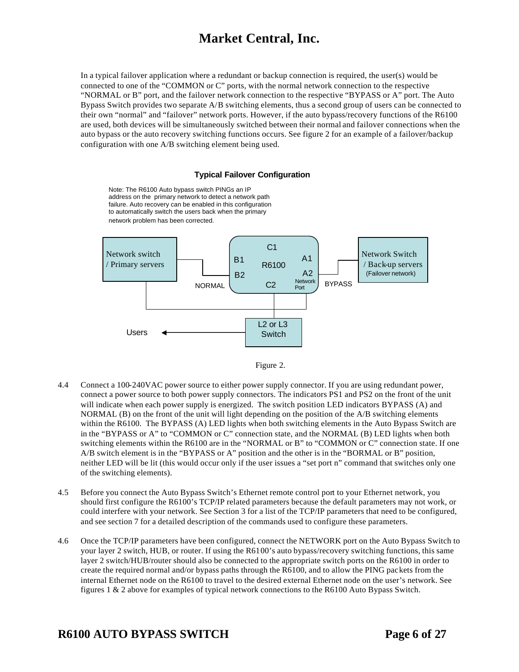In a typical failover application where a redundant or backup connection is required, the user(s) would be connected to one of the "COMMON or C" ports, with the normal network connection to the respective "NORMAL or B" port, and the failover network connection to the respective "BYPASS or A" port. The Auto Bypass Switch provides two separate A/B switching elements, thus a second group of users can be connected to their own "normal" and "failover" network ports. However, if the auto bypass/recovery functions of the R6100 are used, both devices will be simultaneously switched between their normal and failover connections when the auto bypass or the auto recovery switching functions occurs. See figure 2 for an example of a failover/backup configuration with one A/B switching element being used.

#### **Typical Failover Configuration**

Note: The R6100 Auto bypass switch PINGs an IP address on the primary network to detect a network path failure. Auto recovery can be enabled in this configuration to automatically switch the users back when the primary network problem has been corrected.





- 4.4 Connect a 100-240VAC power source to either power supply connector. If you are using redundant power, connect a power source to both power supply connectors. The indicators PS1 and PS2 on the front of the unit will indicate when each power supply is energized. The switch position LED indicators BYPASS (A) and NORMAL (B) on the front of the unit will light depending on the position of the A/B switching elements within the R6100. The BYPASS (A) LED lights when both switching elements in the Auto Bypass Switch are in the "BYPASS or A" to "COMMON or C" connection state, and the NORMAL (B) LED lights when both switching elements within the R6100 are in the "NORMAL or B" to "COMMON or C" connection state. If one A/B switch element is in the "BYPASS or A" position and the other is in the "BORMAL or B" position, neither LED will be lit (this would occur only if the user issues a "set port n" command that switches only one of the switching elements).
- 4.5 Before you connect the Auto Bypass Switch's Ethernet remote control port to your Ethernet network, you should first configure the R6100's TCP/IP related parameters because the default parameters may not work, or could interfere with your network. See Section 3 for a list of the TCP/IP parameters that need to be configured, and see section 7 for a detailed description of the commands used to configure these parameters.
- 4.6 Once the TCP/IP parameters have been configured, connect the NETWORK port on the Auto Bypass Switch to your layer 2 switch, HUB, or router. If using the R6100's auto bypass/recovery switching functions, this same layer 2 switch/HUB/router should also be connected to the appropriate switch ports on the R6100 in order to create the required normal and/or bypass paths through the R6100, and to allow the PING packets from the internal Ethernet node on the R6100 to travel to the desired external Ethernet node on the user's network. See figures 1 & 2 above for examples of typical network connections to the R6100 Auto Bypass Switch.

### **R6100 AUTO BYPASS SWITCH Page 6 of 27**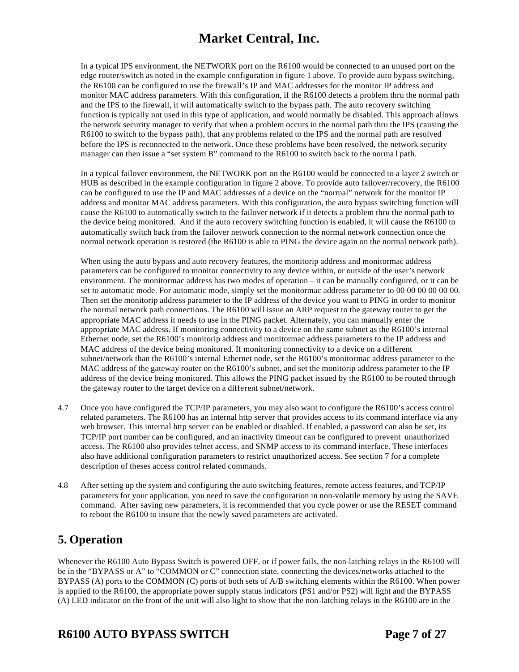In a typical IPS environment, the NETWORK port on the R6100 would be connected to an unused port on the edge router/switch as noted in the example configuration in figure 1 above. To provide auto bypass switching, the R6100 can be configured to use the firewall's IP and MAC addresses for the monitor IP address and monitor MAC address parameters. With this configuration, if the R6100 detects a problem thru the normal path and the IPS to the firewall, it will automatically switch to the bypass path. The auto recovery switching function is typically not used in this type of application, and would normally be disabled. This approach allows the network security manager to verify that when a problem occurs in the normal path thru the IPS (causing the R6100 to switch to the bypass path), that any problems related to the IPS and the normal path are resolved before the IPS is reconnected to the network. Once these problems have been resolved, the network security manager can then issue a "set system B" command to the R6100 to switch back to the norma l path.

In a typical failover environment, the NETWORK port on the R6100 would be connected to a layer 2 switch or HUB as described in the example configuration in figure 2 above. To provide auto failover/recovery, the R6100 can be configured to use the IP and MAC addresses of a device on the "normal" network for the monitor IP address and monitor MAC address parameters. With this configuration, the auto bypass switching function will cause the R6100 to automatically switch to the failover network if it detects a problem thru the normal path to the device being monitored. And if the auto recovery switching function is enabled, it will cause the R6100 to automatically switch back from the failover network connection to the normal network connection once the normal network operation is restored (the R6100 is able to PING the device again on the normal network path).

When using the auto bypass and auto recovery features, the monitorip address and monitormac address parameters can be configured to monitor connectivity to any device within, or outside of the user's network environment. The monitormac address has two modes of operation – it can be manually configured, or it can be set to automatic mode. For automatic mode, simply set the monitormac address parameter to 00 00 00 00 00 00. Then set the monitorip address parameter to the IP address of the device you want to PING in order to monitor the normal network path connections. The R6100 will issue an ARP request to the gateway router to get the appropriate MAC address it needs to use in the PING packet. Alternately, you can manually enter the appropriate MAC address. If monitoring connectivity to a device on the same subnet as the R6100's internal Ethernet node, set the R6100's monitorip address and monitormac address parameters to the IP address and MAC address of the device being monitored. If monitoring connectivity to a device on a different subnet/network than the R6100's internal Ethernet node, set the R6100's monitormac address parameter to the MAC address of the gateway router on the R6100's subnet, and set the monitorip address parameter to the IP address of the device being monitored. This allows the PING packet issued by the R6100 to be routed through the gateway router to the target device on a different subnet/network.

- 4.7 Once you have configured the TCP/IP parameters, you may also want to configure the R6100's access control related parameters. The R6100 has an internal http server that provides access to its command interface via any web browser. This internal http server can be enabled or disabled. If enabled, a password can also be set, its TCP/IP port number can be configured, and an inactivity timeout can be configured to prevent unauthorized access. The R6100 also provides telnet access, and SNMP access to its command interface. These interfaces also have additional configuration parameters to restrict unauthorized access. See section 7 for a complete description of theses access control related commands.
- 4.8 After setting up the system and configuring the auto switching features, remote access features, and TCP/IP parameters for your application, you need to save the configuration in non-volatile memory by using the SAVE command. After saving new parameters, it is recommended that you cycle power or use the RESET command to reboot the R6100 to insure that the newly saved parameters are activated.

### **5. Operation**

Whenever the R6100 Auto Bypass Switch is powered OFF, or if power fails, the non-latching relays in the R6100 will be in the "BYPASS or A" to "COMMON or C" connection state, connecting the devices/networks attached to the BYPASS (A) ports to the COMMON (C) ports of both sets of A/B switching elements within the R6100. When power is applied to the R6100, the appropriate power supply status indicators (PS1 and/or PS2) will light and the BYPASS (A) LED indicator on the front of the unit will also light to show that the non-latching relays in the R6100 are in the

# **R6100 AUTO BYPASS SWITCH Page 7 of 27**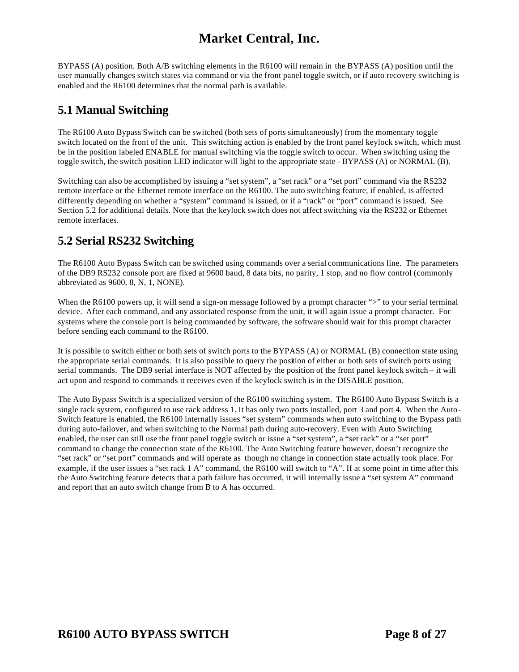BYPASS (A) position. Both A/B switching elements in the R6100 will remain in the BYPASS (A) position until the user manually changes switch states via command or via the front panel toggle switch, or if auto recovery switching is enabled and the R6100 determines that the normal path is available.

### **5.1 Manual Switching**

The R6100 Auto Bypass Switch can be switched (both sets of ports simultaneously) from the momentary toggle switch located on the front of the unit. This switching action is enabled by the front panel keylock switch, which must be in the position labeled ENABLE for manual switching via the toggle switch to occur. When switching using the toggle switch, the switch position LED indicator will light to the appropriate state - BYPASS (A) or NORMAL (B).

Switching can also be accomplished by issuing a "set system", a "set rack" or a "set port" command via the RS232 remote interface or the Ethernet remote interface on the R6100. The auto switching feature, if enabled, is affected differently depending on whether a "system" command is issued, or if a "rack" or "port" command is issued. See Section 5.2 for additional details. Note that the keylock switch does not affect switching via the RS232 or Ethernet remote interfaces.

### **5.2 Serial RS232 Switching**

The R6100 Auto Bypass Switch can be switched using commands over a serial communications line. The parameters of the DB9 RS232 console port are fixed at 9600 baud, 8 data bits, no parity, 1 stop, and no flow control (commonly abbreviated as 9600, 8, N, 1, NONE).

When the R6100 powers up, it will send a sign-on message followed by a prompt character ">" to your serial terminal device. After each command, and any associated response from the unit, it will again issue a prompt character. For systems where the console port is being commanded by software, the software should wait for this prompt character before sending each command to the R6100.

It is possible to switch either or both sets of switch ports to the BYPASS (A) or NORMAL (B) connection state using the appropriate serial commands. It is also possible to query the position of either or both sets of switch ports using serial commands. The DB9 serial interface is NOT affected by the position of the front panel keylock switch – it will act upon and respond to commands it receives even if the keylock switch is in the DISABLE position.

The Auto Bypass Switch is a specialized version of the R6100 switching system. The R6100 Auto Bypass Switch is a single rack system, configured to use rack address 1. It has only two ports installed, port 3 and port 4. When the Auto-Switch feature is enabled, the R6100 internally issues "set system" commands when auto switching to the Bypass path during auto-failover, and when switching to the Normal path during auto-recovery. Even with Auto Switching enabled, the user can still use the front panel toggle switch or issue a "set system", a "set rack" or a "set port" command to change the connection state of the R6100. The Auto Switching feature however, doesn't recognize the "set rack" or "set port" commands and will operate as though no change in connection state actually took place. For example, if the user issues a "set rack 1 A" command, the R6100 will switch to "A". If at some point in time after this the Auto Switching feature detects that a path failure has occurred, it will internally issue a "set system A" command and report that an auto switch change from B to A has occurred.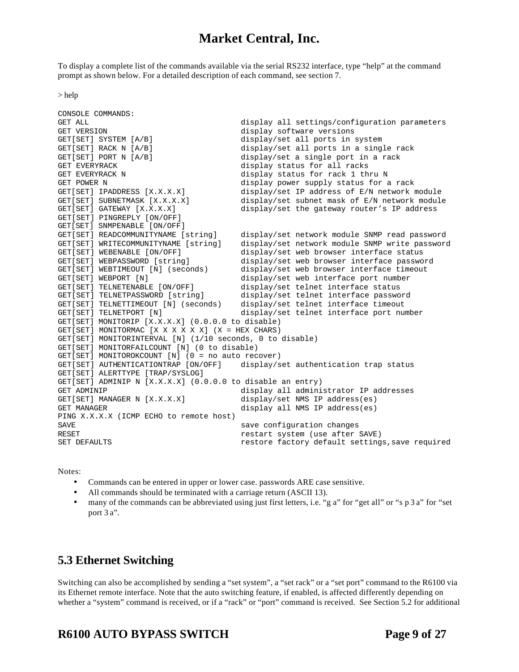To display a complete list of the commands available via the serial RS232 interface, type "help" at the command prompt as shown below. For a detailed description of each command, see section 7.

> help

```
CONSOLE COMMANDS:
GET ALL display all settings/configuration parameters<br>GET VERSION GET display software versions
GET VERSION<br>GET[SET] SYSTEM [A/B] (GET[SET] display/set all ports in
                                            display/set all ports in system
GET[SET] RACK N [A/B] display/set all ports in a single rack<br>GET[SET] PORT N [A/B] display/set a single port in a rack
                                            display/set a single port in a rack
GET EVERYRACK display status for all racks
GET EVERYRACK N 1989 CONSTRUCTED STATES ASSESSED A display status for rack 1 thru N
GET POWER N 1980 1991 CONTROLLER CONTROLLER TO A STATE OF A STATE OF A STATE OF A STATE OF A STATE OF A STATE O
GET[SET] IPADDRESS [X.X.X.X] display/set IP address of E/N network module
GET[SET] SUBNETMASK [X.X.X.X] display/set subnet mask of E/N network module<br>GET[SET] GATEWAY [X.X.X.X] display/set the gateway router's IP address
                                            display/set the gateway router's IP address
GET[SET] PINGREPLY [ON/OFF]
GET[SET] SNMPENABLE [ON/OFF]
GET[SET] READCOMMUNITYNAME [string] display/set network module SNMP read password
                                            display/set network module SNMP write password
GET[SET] WEBENABLE [ON/OFF] display/set web browser interface status
GET[SET] WEBPASSWORD [string] display/set web browser interface password<br>GET[SET] WEBTIMEOUT [N] (seconds) display/set web browser interface timeout
                                            display/set web browser interface timeout
GET[SET] WEBPORT [N] display/set web interface port number
GET[SET] TELNETENABLE [ON/OFF] display/set telnet interface status<br>GET[SET] TELNETPASSWORD [string] display/set telnet interface passwo
                                            display/set telnet interface password
GET[SET] TELNETTIMEOUT [N] (seconds) display/set telnet interface timeout<br>GET[SET] TELNETPORT [N] display/set telnet interface port nu
                                            display/set telnet interface port number
GET[SET] MONITORIP [X.X.X.X] (0.0.0.0 to disable) 
GET[SET] MONITORMAC [X X X X X X] (X = HEX CHARS) 
GET[SET] MONITORINTERVAL [N] (1/10 seconds, 0 to disable) 
GET[SET] MONITORFAILCOUNT [N] (0 to disable) 
GET[SET] MONITOROKCOUNT [N] (0 = no auto recover) 
GET[SET] AUTHENTICATIONTRAP [ON/OFF] display/set authentication trap status
GET[SET] ALERTTYPE [TRAP/SYSLOG] 
GET[SET] ADMINIP N [X.X.X.X] (0.0.0.0 to disable an entry) 
GET ADMINIP<br>GET[SET] MANAGER N [X.X.X.X] display/set NMS IP address(es)
                                            display/set NMS IP address(es)
GET MANAGER display all NMS IP address(es)
PING X.X.X.X (ICMP ECHO to remote host) 
SAVE save configuration changes
RESET<br>RESET restart system (use after SAVE)<br>RESET DEFAILLTS
                                            restore factory default settings, save required
```
Notes:

- Commands can be entered in upper or lower case. passwords ARE case sensitive.
- All commands should be terminated with a carriage return (ASCII 13).
- many of the commands can be abbreviated using just first letters, i.e. "g a" for "get all" or "s p 3 a" for "set port 3 a".

### **5.3 Ethernet Switching**

Switching can also be accomplished by sending a "set system", a "set rack" or a "set port" command to the R6100 via its Ethernet remote interface. Note that the auto switching feature, if enabled, is affected differently depending on whether a "system" command is received, or if a "rack" or "port" command is received. See Section 5.2 for additional

## **R6100 AUTO BYPASS SWITCH Page 9 of 27**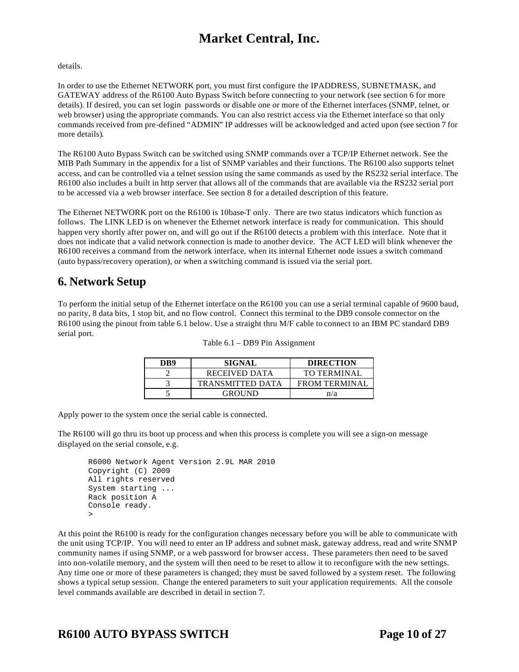#### details.

In order to use the Ethernet NETWORK port, you must first configure the IPADDRESS, SUBNETMASK, and GATEWAY address of the R6100 Auto Bypass Switch before connecting to your network (see section 6 for more details). If desired, you can set login passwords or disable one or more of the Ethernet interfaces (SNMP, telnet, or web browser) using the appropriate commands. You can also restrict access via the Ethernet interface so that only commands received from pre-defined "ADMIN" IP addresses will be acknowledged and acted upon (see section 7 for more details).

The R6100 Auto Bypass Switch can be switched using SNMP commands over a TCP/IP Ethernet network. See the MIB Path Summary in the appendix for a list of SNMP variables and their functions. The R6100 also supports telnet access, and can be controlled via a telnet session using the same commands as used by the RS232 serial interface. The R6100 also includes a built in http server that allows all of the commands that are available via the RS232 serial port to be accessed via a web browser interface. See section 8 for a detailed description of this feature.

The Ethernet NETWORK port on the R6100 is 10base-T only. There are two status indicators which function as follows. The LINK LED is on whenever the Ethernet network interface is ready for communication. This should happen very shortly after power on, and will go out if the R6100 detects a problem with this interface. Note that it does not indicate that a valid network connection is made to another device. The ACT LED will blink whenever the R6100 receives a command from the network interface, when its internal Ethernet node issues a switch command (auto bypass/recovery operation), or when a switching command is issued via the serial port.

### **6. Network Setup**

To perform the initial setup of the Ethernet interface on the R6100 you can use a serial terminal capable of 9600 baud, no parity, 8 data bits, 1 stop bit, and no flow control. Connect this terminal to the DB9 console connector on the R6100 using the pinout from table 6.1 below. Use a straight thru M/F cable to connect to an IBM PC standard DB9 serial port.

| DB9 | SIGNAL                  | <b>DIRECTION</b>     |
|-----|-------------------------|----------------------|
|     | RECEIVED DATA           | TO TERMINAL          |
|     | <b>TRANSMITTED DATA</b> | <b>FROM TERMINAL</b> |
|     | GROUND                  | n/a                  |

| Table 6.1 – DB9 Pin Assignment |  |  |  |  |
|--------------------------------|--|--|--|--|
|--------------------------------|--|--|--|--|

Apply power to the system once the serial cable is connected.

The R6100 will go thru its boot up process and when this process is complete you will see a sign-on message displayed on the serial console, e.g.

```
R6000 Network Agent Version 2.9L MAR 2010
Copyright (C) 2009 
All rights reserved
System starting ...
Rack position A
Console ready.
>
```
At this point the R6100 is ready for the configuration changes necessary before you will be able to communicate with the unit using TCP/IP. You will need to enter an IP address and subnet mask, gateway address, read and write SNMP community names if using SNMP, or a web password for browser access. These parameters then need to be saved into non-volatile memory, and the system will then need to be reset to allow it to reconfigure with the new settings. Any time one or more of these parameters is changed; they must be saved followed by a system reset. The following shows a typical setup session. Change the entered parameters to suit your application requirements. All the console level commands available are described in detail in section 7.

## **R6100 AUTO BYPASS SWITCH Page 10 of 27**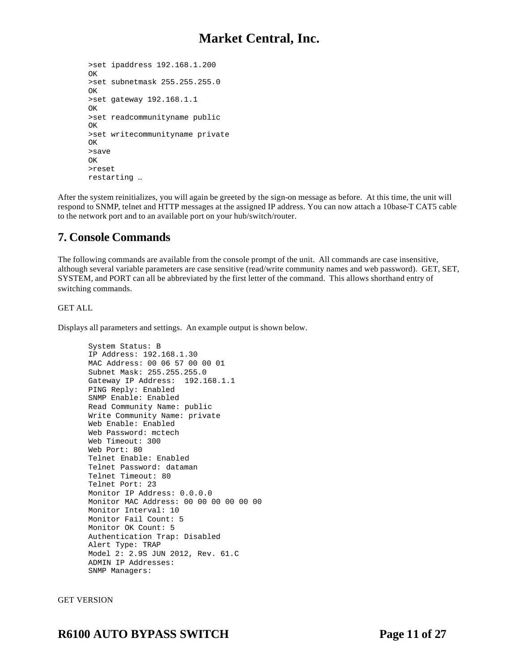```
>set ipaddress 192.168.1.200
OK
>set subnetmask 255.255.255.0
OK
>set gateway 192.168.1.1
OK
>set readcommunityname public
OK
>set writecommunityname private
OK
>save
OK
>reset
restarting …
```
After the system reinitializes, you will again be greeted by the sign-on message as before. At this time, the unit will respond to SNMP, telnet and HTTP messages at the assigned IP address. You can now attach a 10base-T CAT5 cable to the network port and to an available port on your hub/switch/router.

### **7. Console Commands**

The following commands are available from the console prompt of the unit. All commands are case insensitive, although several variable parameters are case sensitive (read/write community names and web password). GET, SET, SYSTEM, and PORT can all be abbreviated by the first letter of the command. This allows shorthand entry of switching commands.

#### GET ALL

Displays all parameters and settings. An example output is shown below.

```
System Status: B
IP Address: 192.168.1.30
MAC Address: 00 06 57 00 00 01
Subnet Mask: 255.255.255.0
Gateway IP Address: 192.168.1.1
PING Reply: Enabled
SNMP Enable: Enabled
Read Community Name: public
Write Community Name: private
Web Enable: Enabled
Web Password: mctech
Web Timeout: 300
Web Port: 80
Telnet Enable: Enabled
Telnet Password: dataman
Telnet Timeout: 80
Telnet Port: 23
Monitor IP Address: 0.0.0.0
Monitor MAC Address: 00 00 00 00 00 00
Monitor Interval: 10
Monitor Fail Count: 5
Monitor OK Count: 5
Authentication Trap: Disabled
Alert Type: TRAP
Model 2: 2.9S JUN 2012, Rev. 61.C
ADMIN IP Addresses:
SNMP Managers:
```
#### GET VERSION

### **R6100 AUTO BYPASS SWITCH Page 11 of 27**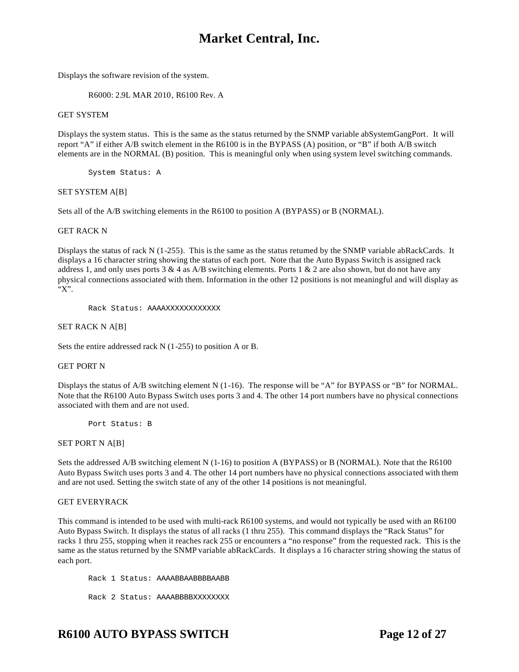Displays the software revision of the system.

R6000: 2.9L MAR 2010, R6100 Rev. A

#### GET SYSTEM

Displays the system status. This is the same as the status returned by the SNMP variable abSystemGangPort. It will report "A" if either A/B switch element in the R6100 is in the BYPASS (A) position, or "B" if both A/B switch elements are in the NORMAL (B) position. This is meaningful only when using system level switching commands.

System Status: A

#### SET SYSTEM A[B]

Sets all of the A/B switching elements in the R6100 to position A (BYPASS) or B (NORMAL).

#### GET RACK N

Displays the status of rack N (1-255). This is the same as the status returned by the SNMP variable abRackCards. It displays a 16 character string showing the status of each port. Note that the Auto Bypass Switch is assigned rack address 1, and only uses ports 3  $\&$  4 as A/B switching elements. Ports 1  $\&$  2 are also shown, but do not have any physical connections associated with them. Information in the other 12 positions is not meaningful and will display as "X".

Rack Status: AAAAXXXXXXXXXXXX

SET RACK N A[B]

Sets the entire addressed rack N (1-255) to position A or B.

#### GET PORT N

Displays the status of A/B switching element N (1-16). The response will be "A" for BYPASS or "B" for NORMAL. Note that the R6100 Auto Bypass Switch uses ports 3 and 4. The other 14 port numbers have no physical connections associated with them and are not used.

Port Status: B

#### SET PORT N A[B]

Sets the addressed A/B switching element N (1-16) to position A (BYPASS) or B (NORMAL). Note that the R6100 Auto Bypass Switch uses ports 3 and 4. The other 14 port numbers have no physical connections associated with them and are not used. Setting the switch state of any of the other 14 positions is not meaningful.

#### GET EVERYRACK

This command is intended to be used with multi-rack R6100 systems, and would not typically be used with an R6100 Auto Bypass Switch. It displays the status of all racks (1 thru 255). This command displays the "Rack Status" for racks 1 thru 255, stopping when it reaches rack 255 or encounters a "no response" from the requested rack. This is the same as the status returned by the SNMP variable abRackCards. It displays a 16 character string showing the status of each port.

Rack 1 Status: AAAABBAABBBBAABB Rack 2 Status: AAAABBBBXXXXXXXX

### **R6100 AUTO BYPASS SWITCH Page 12 of 27**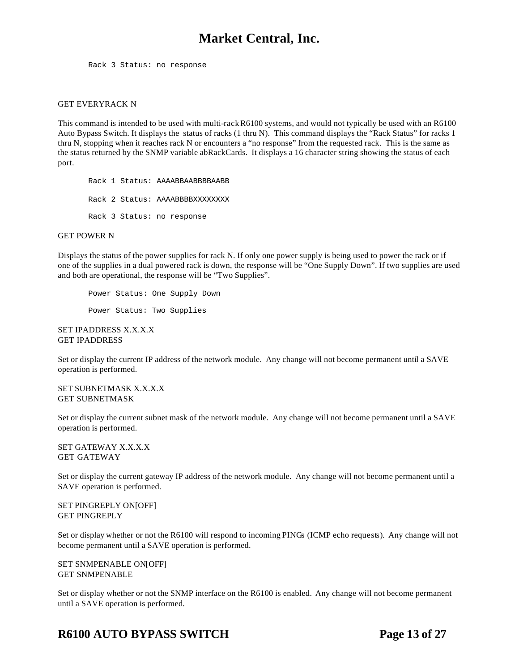Rack 3 Status: no response

#### GET EVERYRACK N

This command is intended to be used with multi-rack R6100 systems, and would not typically be used with an R6100 Auto Bypass Switch. It displays the status of racks (1 thru N). This command displays the "Rack Status" for racks 1 thru N, stopping when it reaches rack N or encounters a "no response" from the requested rack. This is the same as the status returned by the SNMP variable abRackCards. It displays a 16 character string showing the status of each port.

Rack 1 Status: AAAABBAABBBBAABB Rack 2 Status: AAAABBBBXXXXXXXX Rack 3 Status: no response

#### GET POWER N

Displays the status of the power supplies for rack N. If only one power supply is being used to power the rack or if one of the supplies in a dual powered rack is down, the response will be "One Supply Down". If two supplies are used and both are operational, the response will be "Two Supplies".

Power Status: One Supply Down Power Status: Two Supplies

SET IPADDRESS X.X.X.X GET IPADDRESS

Set or display the current IP address of the network module. Any change will not become permanent until a SAVE operation is performed.

SET SUBNETMASK X.X.X.X GET SUBNETMASK

Set or display the current subnet mask of the network module. Any change will not become permanent until a SAVE operation is performed.

SET GATEWAY X.X.X.X GET GATEWAY

Set or display the current gateway IP address of the network module. Any change will not become permanent until a SAVE operation is performed.

SET PINGREPLY ON[OFF] GET PINGREPLY

Set or display whether or not the R6100 will respond to incoming PINGs (ICMP echo requests). Any change will not become permanent until a SAVE operation is performed.

SET SNMPENABLE ON[OFF] GET SNMPENABLE

Set or display whether or not the SNMP interface on the R6100 is enabled. Any change will not become permanent until a SAVE operation is performed.

### **R6100 AUTO BYPASS SWITCH Page 13 of 27**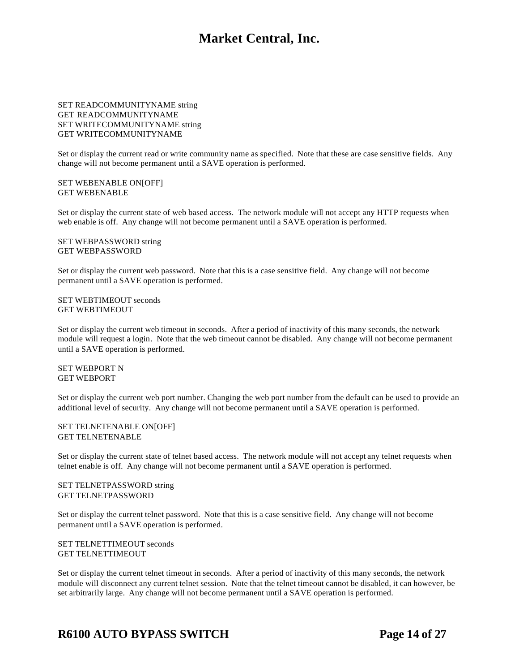#### SET READCOMMUNITYNAME string GET READCOMMUNITYNAME SET WRITECOMMUNITYNAME string GET WRITECOMMUNITYNAME

Set or display the current read or write community name as specified. Note that these are case sensitive fields. Any change will not become permanent until a SAVE operation is performed.

SET WEBENABLE ON[OFF] GET WEBENABLE

Set or display the current state of web based access. The network module will not accept any HTTP requests when web enable is off. Any change will not become permanent until a SAVE operation is performed.

SET WEBPASSWORD string GET WEBPASSWORD

Set or display the current web password. Note that this is a case sensitive field. Any change will not become permanent until a SAVE operation is performed.

SET WEBTIMEOUT seconds GET WEBTIMEOUT

Set or display the current web timeout in seconds. After a period of inactivity of this many seconds, the network module will request a login. Note that the web timeout cannot be disabled. Any change will not become permanent until a SAVE operation is performed.

SET WEBPORT N GET WEBPORT

Set or display the current web port number. Changing the web port number from the default can be used to provide an additional level of security. Any change will not become permanent until a SAVE operation is performed.

SET TELNETENABLE ON[OFF] GET TELNETENABLE

Set or display the current state of telnet based access. The network module will not accept any telnet requests when telnet enable is off. Any change will not become permanent until a SAVE operation is performed.

SET TELNETPASSWORD string GET TELNETPASSWORD

Set or display the current telnet password. Note that this is a case sensitive field. Any change will not become permanent until a SAVE operation is performed.

SET TELNETTIMEOUT seconds GET TELNETTIMEOUT

Set or display the current telnet timeout in seconds. After a period of inactivity of this many seconds, the network module will disconnect any current telnet session. Note that the telnet timeout cannot be disabled, it can however, be set arbitrarily large. Any change will not become permanent until a SAVE operation is performed.

### **R6100 AUTO BYPASS SWITCH Page 14 of 27**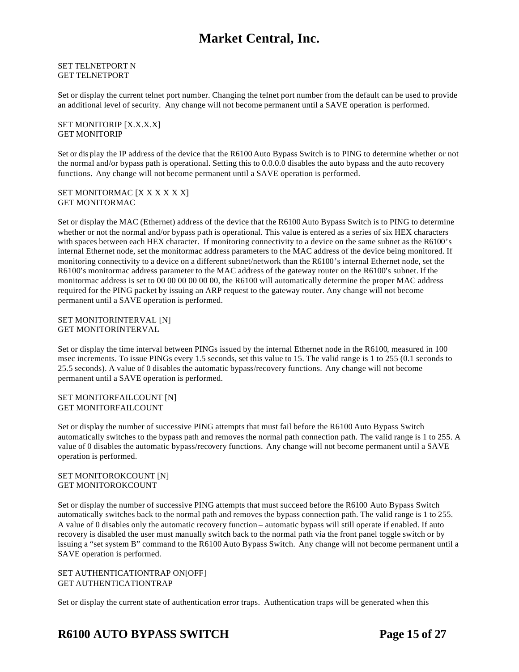SET TELNETPORT N GET TELNETPORT

Set or display the current telnet port number. Changing the telnet port number from the default can be used to provide an additional level of security. Any change will not become permanent until a SAVE operation is performed.

SET MONITORIP [X.X.X.X] GET MONITORIP

Set or dis play the IP address of the device that the R6100 Auto Bypass Switch is to PING to determine whether or not the normal and/or bypass path is operational. Setting this to 0.0.0.0 disables the auto bypass and the auto recovery functions. Any change will not become permanent until a SAVE operation is performed.

SET MONITORMAC [X X X X X X] GET MONITORMAC

Set or display the MAC (Ethernet) address of the device that the R6100 Auto Bypass Switch is to PING to determine whether or not the normal and/or bypass path is operational. This value is entered as a series of six HEX characters with spaces between each HEX character. If monitoring connectivity to a device on the same subnet as the R6100's internal Ethernet node, set the monitormac address parameters to the MAC address of the device being monitored. If monitoring connectivity to a device on a different subnet/network than the R6100's internal Ethernet node, set the R6100's monitormac address parameter to the MAC address of the gateway router on the R6100's subnet. If the monitormac address is set to 00 00 00 00 00 00, the R6100 will automatically determine the proper MAC address required for the PING packet by issuing an ARP request to the gateway router. Any change will not become permanent until a SAVE operation is performed.

SET MONITORINTERVAL [N] GET MONITORINTERVAL

Set or display the time interval between PINGs issued by the internal Ethernet node in the R6100, measured in 100 msec increments. To issue PINGs every 1.5 seconds, set this value to 15. The valid range is 1 to 255 (0.1 seconds to 25.5 seconds). A value of 0 disables the automatic bypass/recovery functions. Any change will not become permanent until a SAVE operation is performed.

#### SET MONITORFAILCOUNT [N] GET MONITORFAILCOUNT

Set or display the number of successive PING attempts that must fail before the R6100 Auto Bypass Switch automatically switches to the bypass path and removes the normal path connection path. The valid range is 1 to 255. A value of 0 disables the automatic bypass/recovery functions. Any change will not become permanent until a SAVE operation is performed.

#### SET MONITOROKCOUNT [N] GET MONITOROKCOUNT

Set or display the number of successive PING attempts that must succeed before the R6100 Auto Bypass Switch automatically switches back to the normal path and removes the bypass connection path. The valid range is 1 to 255. A value of 0 disables only the automatic recovery function – automatic bypass will still operate if enabled. If auto recovery is disabled the user must manually switch back to the normal path via the front panel toggle switch or by issuing a "set system B" command to the R6100 Auto Bypass Switch. Any change will not become permanent until a SAVE operation is performed.

#### SET AUTHENTICATIONTRAP ON[OFF] GET AUTHENTICATIONTRAP

Set or display the current state of authentication error traps. Authentication traps will be generated when this

## **R6100 AUTO BYPASS SWITCH Page 15 of 27**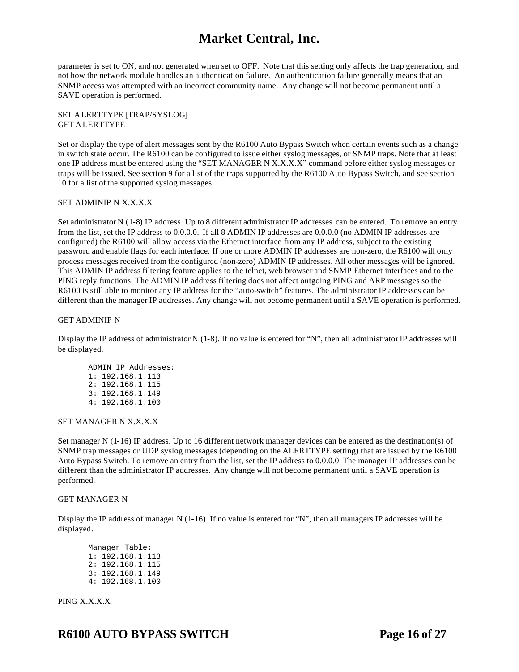parameter is set to ON, and not generated when set to OFF. Note that this setting only affects the trap generation, and not how the network module handles an authentication failure. An authentication failure generally means that an SNMP access was attempted with an incorrect community name. Any change will not become permanent until a SAVE operation is performed.

#### SET ALERTTYPE [TRAP/SYSLOG] GET ALERTTYPE

Set or display the type of alert messages sent by the R6100 Auto Bypass Switch when certain events such as a change in switch state occur. The R6100 can be configured to issue either syslog messages, or SNMP traps. Note that at least one IP address must be entered using the "SET MANAGER N X.X.X.X" command before either syslog messages or traps will be issued. See section 9 for a list of the traps supported by the R6100 Auto Bypass Switch, and see section 10 for a list of the supported syslog messages.

#### SET ADMINIP N X.X.X.X

Set administrator N (1-8) IP address. Up to 8 different administrator IP addresses can be entered. To remove an entry from the list, set the IP address to 0.0.0.0. If all 8 ADMIN IP addresses are 0.0.0.0 (no ADMIN IP addresses are configured) the R6100 will allow access via the Ethernet interface from any IP address, subject to the existing password and enable flags for each interface. If one or more ADMIN IP addresses are non-zero, the R6100 will only process messages received from the configured (non-zero) ADMIN IP addresses. All other messages will be ignored. This ADMIN IP address filtering feature applies to the telnet, web browser and SNMP Ethernet interfaces and to the PING reply functions. The ADMIN IP address filtering does not affect outgoing PING and ARP messages so the R6100 is still able to monitor any IP address for the "auto-switch" features. The administrator IP addresses can be different than the manager IP addresses. Any change will not become permanent until a SAVE operation is performed.

#### GET ADMINIP N

Display the IP address of administrator N (1-8). If no value is entered for "N", then all administrator IP addresses will be displayed.

ADMIN IP Addresses: 1: 192.168.1.113 2: 192.168.1.115 3: 192.168.1.149 4: 192.168.1.100

#### SET MANAGER N X.X.X.X

Set manager N (1-16) IP address. Up to 16 different network manager devices can be entered as the destination(s) of SNMP trap messages or UDP syslog messages (depending on the ALERTTYPE setting) that are issued by the R6100 Auto Bypass Switch. To remove an entry from the list, set the IP address to 0.0.0.0. The manager IP addresses can be different than the administrator IP addresses. Any change will not become permanent until a SAVE operation is performed.

#### GET MANAGER N

Display the IP address of manager N (1-16). If no value is entered for "N", then all managers IP addresses will be displayed.

| Manager Table:   |
|------------------|
| 1: 192.168.1.113 |
| 2: 192.168.1.115 |
| 3: 192.168.1.149 |
| 4: 192.168.1.100 |
|                  |

PING X.X.X.X

## **R6100 AUTO BYPASS SWITCH Page 16 of 27**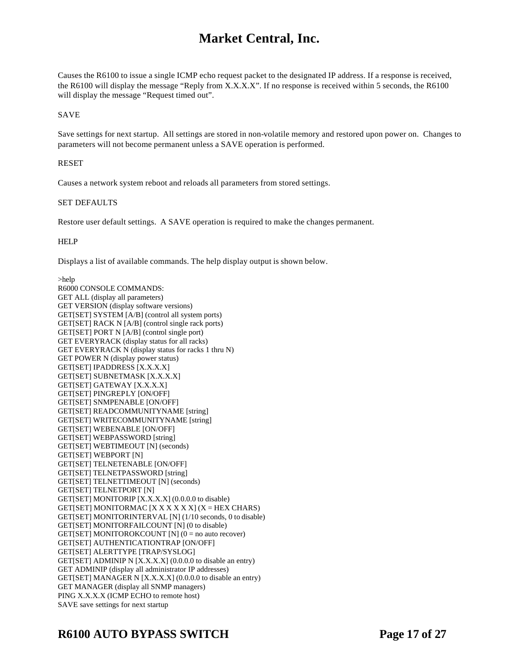Causes the R6100 to issue a single ICMP echo request packet to the designated IP address. If a response is received, the R6100 will display the message "Reply from X.X.X.X". If no response is received within 5 seconds, the R6100 will display the message "Request timed out".

SAVE

Save settings for next startup. All settings are stored in non-volatile memory and restored upon power on. Changes to parameters will not become permanent unless a SAVE operation is performed.

#### RESET

Causes a network system reboot and reloads all parameters from stored settings.

#### SET DEFAULTS

Restore user default settings. A SAVE operation is required to make the changes permanent.

#### **HELP**

Displays a list of available commands. The help display output is shown below.

>help R6000 CONSOLE COMMANDS: GET ALL (display all parameters) GET VERSION (display software versions) GET[SET] SYSTEM [A/B] (control all system ports) GET[SET] RACK N [A/B] (control single rack ports) GET[SET] PORT N [A/B] (control single port) GET EVERYRACK (display status for all racks) GET EVERYRACK N (display status for racks 1 thru N) GET POWER N (display power status) GET[SET] IPADDRESS [X.X.X.X] GET[SET] SUBNETMASK [X.X.X.X] GET[SET] GATEWAY [X.X.X.X] GET[SET] PINGREPLY [ON/OFF] GET[SET] SNMPENABLE [ON/OFF] GET[SET] READCOMMUNITYNAME [string] GET[SET] WRITECOMMUNITYNAME [string] GET[SET] WEBENABLE [ON/OFF] GET[SET] WEBPASSWORD [string] GET[SET] WEBTIMEOUT [N] (seconds) GET[SET] WEBPORT [N] GET[SET] TELNETENABLE [ON/OFF] GET[SET] TELNETPASSWORD [string] GET[SET] TELNETTIMEOUT [N] (seconds) GET[SET] TELNETPORT [N] GET[SET] MONITORIP [X.X.X.X] (0.0.0.0 to disable) GET[SET] MONITORMAC [X X X X X X] (X = HEX CHARS) GET[SET] MONITORINTERVAL [N] (1/10 seconds, 0 to disable) GET[SET] MONITORFAILCOUNT [N] (0 to disable) GET[SET] MONITOROKCOUNT [N]  $(0 = no auto recover)$ GET[SET] AUTHENTICATIONTRAP [ON/OFF] GET[SET] ALERTTYPE [TRAP/SYSLOG] GET[SET] ADMINIP N [X.X.X.X] (0.0.0.0 to disable an entry) GET ADMINIP (display all administrator IP addresses) GET[SET] MANAGER N [X.X.X.X] (0.0.0.0 to disable an entry) GET MANAGER (display all SNMP managers) PING X.X.X.X (ICMP ECHO to remote host) SAVE save settings for next startup

### **R6100 AUTO BYPASS SWITCH Page 17 of 27**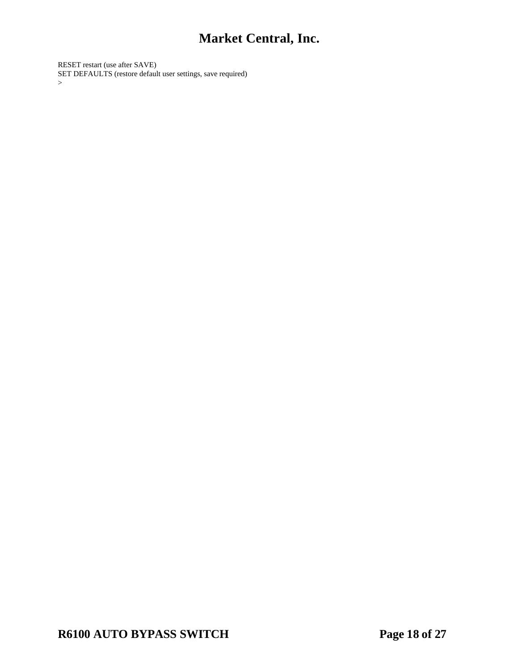RESET restart (use after SAVE) SET DEFAULTS (restore default user settings, save required)  $\geq$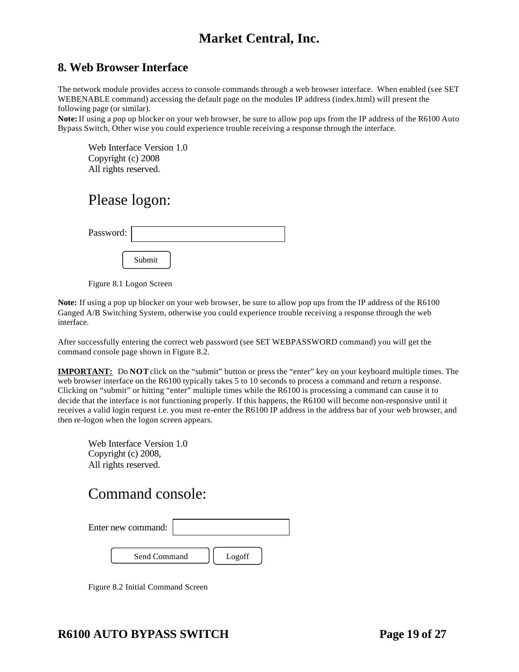### **8. Web Browser Interface**

The network module provides access to console commands through a web browser interface. When enabled (see SET WEBENABLE command) accessing the default page on the modules IP address (index.html) will present the following page (or similar).

**Note:** If using a pop up blocker on your web browser, be sure to allow pop ups from the IP address of the R6100 Auto Bypass Switch, Other wise you could experience trouble receiving a response through the interface.

Web Interface Version 1.0 Copyright (c) 2008 All rights reserved.

# Please logon:

| Password: |        |
|-----------|--------|
|           | Submit |

Figure 8.1 Logon Screen

**Note:** If using a pop up blocker on your web browser, be sure to allow pop ups from the IP address of the R6100 Ganged A/B Switching System, otherwise you could experience trouble receiving a response through the web interface.

After successfully entering the correct web password (see SET WEBPASSWORD command) you will get the command console page shown in Figure 8.2.

**IMPORTANT:** Do **NOT** click on the "submit" button or press the "enter" key on your keyboard multiple times. The web browser interface on the R6100 typically takes 5 to 10 seconds to process a command and return a response. Clicking on "submit" or hitting "enter" multiple times while the R6100 is processing a command can cause it to decide that the interface is not functioning properly. If this happens, the R6100 will become non-responsive until it receives a valid login request i.e. you must re-enter the R6100 IP address in the address bar of your web browser, and then re-logon when the logon screen appears.

| Web Interface Version 1.0 |  |
|---------------------------|--|
| Copyright (c) 2008,       |  |
| All rights reserved.      |  |

# Command console:

| Enter new command: |        |
|--------------------|--------|
| Send Command       | Logoff |

Figure 8.2 Initial Command Screen

## **R6100 AUTO BYPASS SWITCH Page 19 of 27**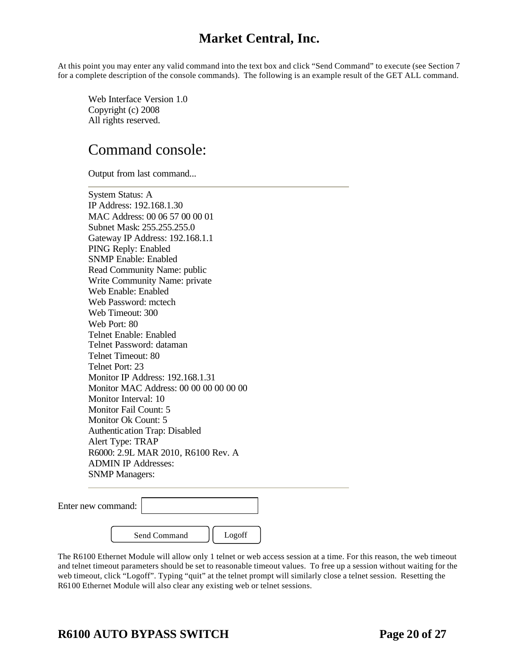At this point you may enter any valid command into the text box and click "Send Command" to execute (see Section 7 for a complete description of the console commands). The following is an example result of the GET ALL command.

Web Interface Version 1.0 Copyright (c) 2008 All rights reserved.

# Command console:

Output from last command...

System Status: A IP Address: 192.168.1.30 MAC Address: 00 06 57 00 00 01 Subnet Mask: 255.255.255.0 Gateway IP Address: 192.168.1.1 PING Reply: Enabled SNMP Enable: Enabled Read Community Name: public Write Community Name: private Web Enable: Enabled Web Password: mctech Web Timeout: 300 Web Port: 80 Telnet Enable: Enabled Telnet Password: dataman Telnet Timeout: 80 Telnet Port: 23 Monitor IP Address: 192.168.1.31 Monitor MAC Address: 00 00 00 00 00 00 Monitor Interval: 10 Monitor Fail Count: 5 Monitor Ok Count: 5 Authentication Trap: Disabled Alert Type: TRAP R6000: 2.9L MAR 2010, R6100 Rev. A ADMIN IP Addresses: SNMP Managers:

| Enter new command: |              |        |  |
|--------------------|--------------|--------|--|
|                    | Send Command | Logoff |  |

The R6100 Ethernet Module will allow only 1 telnet or web access session at a time. For this reason, the web timeout and telnet timeout parameters should be set to reasonable timeout values. To free up a session without waiting for the web timeout, click "Logoff". Typing "quit" at the telnet prompt will similarly close a telnet session. Resetting the R6100 Ethernet Module will also clear any existing web or telnet sessions.

### **R6100 AUTO BYPASS SWITCH Page 20 of 27**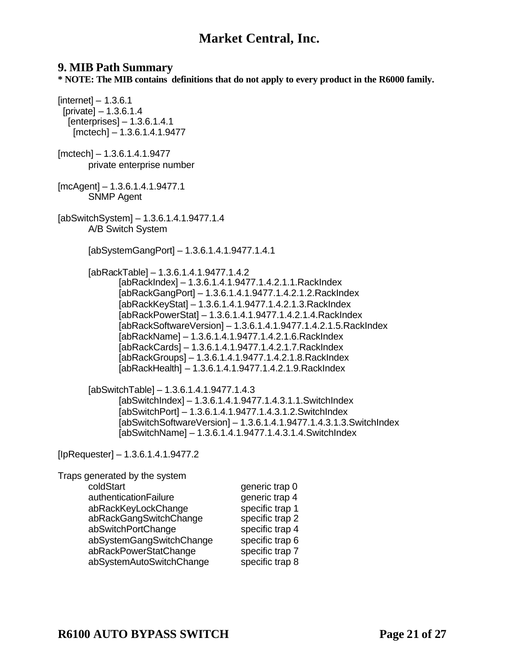### **9. MIB Path Summary**

**\* NOTE: The MIB contains definitions that do not apply to every product in the R6000 family.** 

 $[internet] - 1.3.6.1$  [private] – 1.3.6.1.4 [enterprises] – 1.3.6.1.4.1 [mctech] – 1.3.6.1.4.1.9477

[mctech] – 1.3.6.1.4.1.9477 private enterprise number

[mcAgent] – 1.3.6.1.4.1.9477.1 SNMP Agent

[abSwitchSystem] – 1.3.6.1.4.1.9477.1.4 A/B Switch System

[abSystemGangPort] – 1.3.6.1.4.1.9477.1.4.1

[abRackTable] – 1.3.6.1.4.1.9477.1.4.2 [abRackIndex] – 1.3.6.1.4.1.9477.1.4.2.1.1.RackIndex [abRackGangPort] – 1.3.6.1.4.1.9477.1.4.2.1.2.RackIndex [abRackKeyStat] – 1.3.6.1.4.1.9477.1.4.2.1.3.RackIndex [abRackPowerStat] – 1.3.6.1.4.1.9477.1.4.2.1.4.RackIndex [abRackSoftwareVersion] – 1.3.6.1.4.1.9477.1.4.2.1.5.RackIndex [abRackName] – 1.3.6.1.4.1.9477.1.4.2.1.6.RackIndex [abRackCards] – 1.3.6.1.4.1.9477.1.4.2.1.7.RackIndex [abRackGroups] – 1.3.6.1.4.1.9477.1.4.2.1.8.RackIndex [abRackHealth] – 1.3.6.1.4.1.9477.1.4.2.1.9.RackIndex

[abSwitchTable] – 1.3.6.1.4.1.9477.1.4.3 [abSwitchIndex] – 1.3.6.1.4.1.9477.1.4.3.1.1.SwitchIndex [abSwitchPort] – 1.3.6.1.4.1.9477.1.4.3.1.2.SwitchIndex [abSwitchSoftwareVersion] – 1.3.6.1.4.1.9477.1.4.3.1.3.SwitchIndex [abSwitchName] – 1.3.6.1.4.1.9477.1.4.3.1.4.SwitchIndex

[IpRequester] – 1.3.6.1.4.1.9477.2

| Traps generated by the system |                 |
|-------------------------------|-----------------|
| coldStart                     | generic trap 0  |
| authenticationFailure         | generic trap 4  |
| abRackKeyLockChange           | specific trap 1 |
| abRackGangSwitchChange        | specific trap 2 |
| abSwitchPortChange            | specific trap 4 |
| abSystemGangSwitchChange      | specific trap 6 |
| abRackPowerStatChange         | specific trap 7 |
| abSystemAutoSwitchChange      | specific trap 8 |
|                               |                 |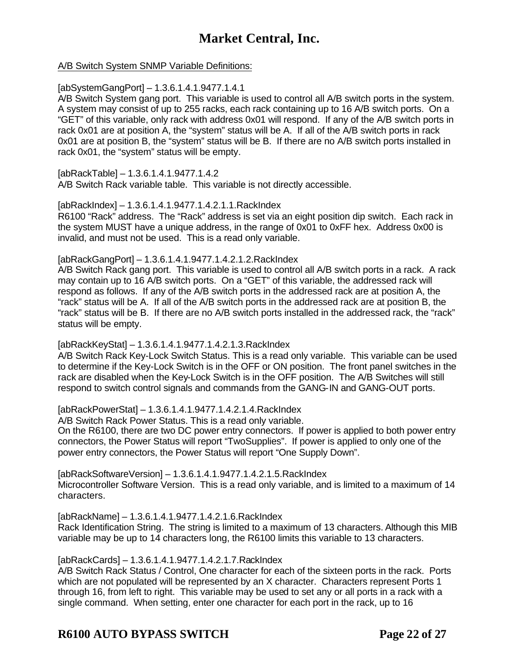A/B Switch System SNMP Variable Definitions:

[abSystemGangPort] – 1.3.6.1.4.1.9477.1.4.1

A/B Switch System gang port. This variable is used to control all A/B switch ports in the system. A system may consist of up to 255 racks, each rack containing up to 16 A/B switch ports. On a "GET" of this variable, only rack with address 0x01 will respond. If any of the A/B switch ports in rack 0x01 are at position A, the "system" status will be A. If all of the A/B switch ports in rack 0x01 are at position B, the "system" status will be B. If there are no A/B switch ports installed in rack 0x01, the "system" status will be empty.

[abRackTable] – 1.3.6.1.4.1.9477.1.4.2 A/B Switch Rack variable table. This variable is not directly accessible.

[abRackIndex] – 1.3.6.1.4.1.9477.1.4.2.1.1.RackIndex

R6100 "Rack" address. The "Rack" address is set via an eight position dip switch. Each rack in the system MUST have a unique address, in the range of 0x01 to 0xFF hex. Address 0x00 is invalid, and must not be used. This is a read only variable.

[abRackGangPort] – 1.3.6.1.4.1.9477.1.4.2.1.2.RackIndex

A/B Switch Rack gang port. This variable is used to control all A/B switch ports in a rack. A rack may contain up to 16 A/B switch ports. On a "GET" of this variable, the addressed rack will respond as follows. If any of the A/B switch ports in the addressed rack are at position A, the "rack" status will be A. If all of the A/B switch ports in the addressed rack are at position B, the "rack" status will be B. If there are no A/B switch ports installed in the addressed rack, the "rack" status will be empty.

[abRackKeyStat] – 1.3.6.1.4.1.9477.1.4.2.1.3.RackIndex

A/B Switch Rack Key-Lock Switch Status. This is a read only variable. This variable can be used to determine if the Key-Lock Switch is in the OFF or ON position. The front panel switches in the rack are disabled when the Key-Lock Switch is in the OFF position. The A/B Switches will still respond to switch control signals and commands from the GANG-IN and GANG-OUT ports.

[abRackPowerStat] – 1.3.6.1.4.1.9477.1.4.2.1.4.RackIndex

A/B Switch Rack Power Status. This is a read only variable.

On the R6100, there are two DC power entry connectors. If power is applied to both power entry connectors, the Power Status will report "TwoSupplies". If power is applied to only one of the power entry connectors, the Power Status will report "One Supply Down".

[abRackSoftwareVersion] – 1.3.6.1.4.1.9477.1.4.2.1.5.RackIndex Microcontroller Software Version. This is a read only variable, and is limited to a maximum of 14 characters.

[abRackName] – 1.3.6.1.4.1.9477.1.4.2.1.6.RackIndex

Rack Identification String. The string is limited to a maximum of 13 characters. Although this MIB variable may be up to 14 characters long, the R6100 limits this variable to 13 characters.

[abRackCards] – 1.3.6.1.4.1.9477.1.4.2.1.7.RackIndex

A/B Switch Rack Status / Control, One character for each of the sixteen ports in the rack. Ports which are not populated will be represented by an X character. Characters represent Ports 1 through 16, from left to right. This variable may be used to set any or all ports in a rack with a single command. When setting, enter one character for each port in the rack, up to 16

**R6100 AUTO BYPASS SWITCH Page 22 of 27**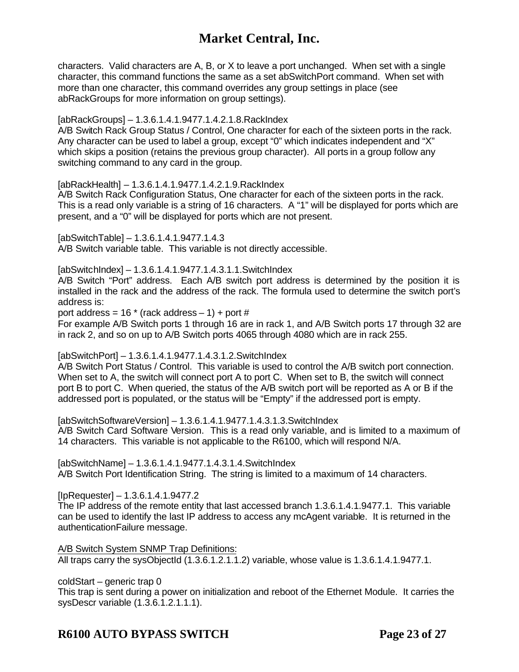characters. Valid characters are A, B, or X to leave a port unchanged. When set with a single character, this command functions the same as a set abSwitchPort command. When set with more than one character, this command overrides any group settings in place (see abRackGroups for more information on group settings).

#### [abRackGroups] – 1.3.6.1.4.1.9477.1.4.2.1.8.RackIndex

A/B Switch Rack Group Status / Control, One character for each of the sixteen ports in the rack. Any character can be used to label a group, except "0" which indicates independent and "X" which skips a position (retains the previous group character). All ports in a group follow any switching command to any card in the group.

#### [abRackHealth] – 1.3.6.1.4.1.9477.1.4.2.1.9.RackIndex

A/B Switch Rack Configuration Status, One character for each of the sixteen ports in the rack. This is a read only variable is a string of 16 characters. A "1" will be displayed for ports which are present, and a "0" will be displayed for ports which are not present.

[abSwitchTable] – 1.3.6.1.4.1.9477.1.4.3 A/B Switch variable table. This variable is not directly accessible.

[abSwitchIndex] – 1.3.6.1.4.1.9477.1.4.3.1.1.SwitchIndex

A/B Switch "Port" address. Each A/B switch port address is determined by the position it is installed in the rack and the address of the rack. The formula used to determine the switch port's address is:

port address =  $16 *$  (rack address  $-1$ ) + port #

For example A/B Switch ports 1 through 16 are in rack 1, and A/B Switch ports 17 through 32 are in rack 2, and so on up to A/B Switch ports 4065 through 4080 which are in rack 255.

[abSwitchPort] – 1.3.6.1.4.1.9477.1.4.3.1.2.SwitchIndex

A/B Switch Port Status / Control. This variable is used to control the A/B switch port connection. When set to A, the switch will connect port A to port C. When set to B, the switch will connect port B to port C. When queried, the status of the A/B switch port will be reported as A or B if the addressed port is populated, or the status will be "Empty" if the addressed port is empty.

[abSwitchSoftwareVersion] – 1.3.6.1.4.1.9477.1.4.3.1.3.SwitchIndex A/B Switch Card Software Version. This is a read only variable, and is limited to a maximum of 14 characters. This variable is not applicable to the R6100, which will respond N/A.

[abSwitchName] – 1.3.6.1.4.1.9477.1.4.3.1.4.SwitchIndex A/B Switch Port Identification String. The string is limited to a maximum of 14 characters.

 $[InRequester] - 1.3.6.1.4.1.9477.2$ 

The IP address of the remote entity that last accessed branch 1.3.6.1.4.1.9477.1. This variable can be used to identify the last IP address to access any mcAgent variable. It is returned in the authenticationFailure message.

A/B Switch System SNMP Trap Definitions: All traps carry the sysObjectId (1.3.6.1.2.1.1.2) variable, whose value is 1.3.6.1.4.1.9477.1.

coldStart – generic trap 0

This trap is sent during a power on initialization and reboot of the Ethernet Module. It carries the sysDescr variable (1.3.6.1.2.1.1.1).

### **R6100 AUTO BYPASS SWITCH Page 23 of 27**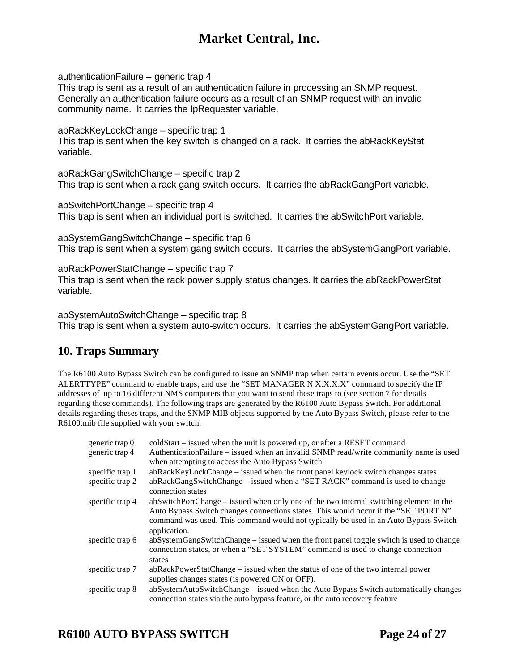authenticationFailure – generic trap 4

This trap is sent as a result of an authentication failure in processing an SNMP request. Generally an authentication failure occurs as a result of an SNMP request with an invalid community name. It carries the IpRequester variable.

abRackKeyLockChange – specific trap 1 This trap is sent when the key switch is changed on a rack. It carries the abRackKeyStat variable.

abRackGangSwitchChange – specific trap 2 This trap is sent when a rack gang switch occurs. It carries the abRackGangPort variable.

abSwitchPortChange – specific trap 4 This trap is sent when an individual port is switched. It carries the abSwitchPort variable.

abSystemGangSwitchChange – specific trap 6 This trap is sent when a system gang switch occurs. It carries the abSystemGangPort variable.

abRackPowerStatChange – specific trap 7 This trap is sent when the rack power supply status changes. It carries the abRackPowerStat variable.

abSystemAutoSwitchChange – specific trap 8 This trap is sent when a system auto-switch occurs. It carries the abSystemGangPort variable.

### **10. Traps Summary**

The R6100 Auto Bypass Switch can be configured to issue an SNMP trap when certain events occur. Use the "SET ALERTTYPE" command to enable traps, and use the "SET MANAGER N X.X.X.X" command to specify the IP addresses of up to 16 different NMS computers that you want to send these traps to (see section 7 for details regarding these commands). The following traps are generated by the R6100 Auto Bypass Switch. For additional details regarding theses traps, and the SNMP MIB objects supported by the Auto Bypass Switch, please refer to the R6100.mib file supplied with your switch.

| generic trap 0  | coldStart – issued when the unit is powered up, or after a RESET command                                                                                                                                                                                                             |
|-----------------|--------------------------------------------------------------------------------------------------------------------------------------------------------------------------------------------------------------------------------------------------------------------------------------|
| generic trap 4  | AuthenticationFailure – issued when an invalid SNMP read/write community name is used<br>when attempting to access the Auto Bypass Switch                                                                                                                                            |
| specific trap 1 | abRackKeyLockChange – issued when the front panel keylock switch changes states                                                                                                                                                                                                      |
| specific trap 2 | abRackGangSwitchChange – issued when a "SET RACK" command is used to change<br>connection states                                                                                                                                                                                     |
| specific trap 4 | abSwitchPortChange – issued when only one of the two internal switching element in the<br>Auto Bypass Switch changes connections states. This would occur if the "SET PORT N"<br>command was used. This command would not typically be used in an Auto Bypass Switch<br>application. |
| specific trap 6 | abSystemGangSwitchChange – issued when the front panel toggle switch is used to change<br>connection states, or when a "SET SYSTEM" command is used to change connection<br>states                                                                                                   |
| specific trap 7 | abRackPowerStatChange – issued when the status of one of the two internal power<br>supplies changes states (is powered ON or OFF).                                                                                                                                                   |
| specific trap 8 | abSystemAutoSwitchChange – issued when the Auto Bypass Switch automatically changes<br>connection states via the auto bypass feature, or the auto recovery feature                                                                                                                   |

# **R6100 AUTO BYPASS SWITCH Page 24 of 27**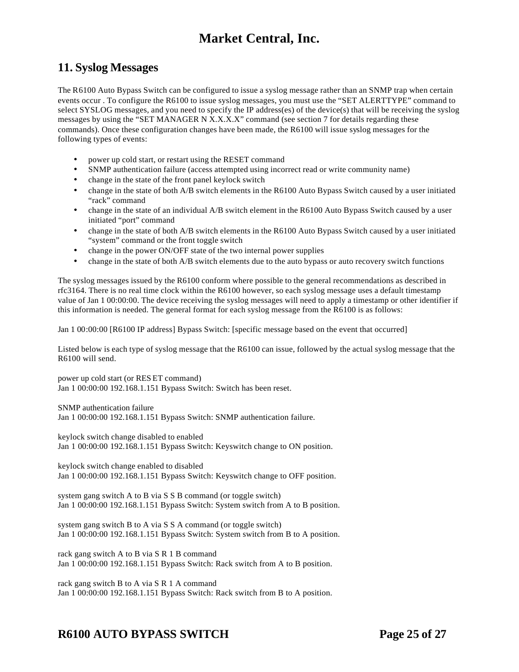### **11. Syslog Messages**

The R6100 Auto Bypass Switch can be configured to issue a syslog message rather than an SNMP trap when certain events occur . To configure the R6100 to issue syslog messages, you must use the "SET ALERTTYPE" command to select SYSLOG messages, and you need to specify the IP address(es) of the device(s) that will be receiving the syslog messages by using the "SET MANAGER N X.X.X.X" command (see section 7 for details regarding these commands). Once these configuration changes have been made, the R6100 will issue syslog messages for the following types of events:

- power up cold start, or restart using the RESET command
- SNMP authentication failure (access attempted using incorrect read or write community name)
- change in the state of the front panel keylock switch
- change in the state of both A/B switch elements in the R6100 Auto Bypass Switch caused by a user initiated "rack" command
- change in the state of an individual A/B switch element in the R6100 Auto Bypass Switch caused by a user initiated "port" command
- change in the state of both A/B switch elements in the R6100 Auto Bypass Switch caused by a user initiated "system" command or the front toggle switch
- change in the power ON/OFF state of the two internal power supplies
- change in the state of both A/B switch elements due to the auto bypass or auto recovery switch functions

The syslog messages issued by the R6100 conform where possible to the general recommendations as described in rfc3164. There is no real time clock within the R6100 however, so each syslog message uses a default timestamp value of Jan 1 00:00:00. The device receiving the syslog messages will need to apply a timestamp or other identifier if this information is needed. The general format for each syslog message from the R6100 is as follows:

Jan 1 00:00:00 [R6100 IP address] Bypass Switch: [specific message based on the event that occurred]

Listed below is each type of syslog message that the R6100 can issue, followed by the actual syslog message that the R6100 will send.

power up cold start (or RES ET command) Jan 1 00:00:00 192.168.1.151 Bypass Switch: Switch has been reset.

SNMP authentication failure Jan 1 00:00:00 192.168.1.151 Bypass Switch: SNMP authentication failure.

keylock switch change disabled to enabled Jan 1 00:00:00 192.168.1.151 Bypass Switch: Keyswitch change to ON position.

keylock switch change enabled to disabled Jan 1 00:00:00 192.168.1.151 Bypass Switch: Keyswitch change to OFF position.

system gang switch A to B via S S B command (or toggle switch) Jan 1 00:00:00 192.168.1.151 Bypass Switch: System switch from A to B position.

system gang switch B to A via S S A command (or toggle switch) Jan 1 00:00:00 192.168.1.151 Bypass Switch: System switch from B to A position.

rack gang switch A to B via S R 1 B command Jan 1 00:00:00 192.168.1.151 Bypass Switch: Rack switch from A to B position.

rack gang switch B to A via S R 1 A command Jan 1 00:00:00 192.168.1.151 Bypass Switch: Rack switch from B to A position.

## **R6100 AUTO BYPASS SWITCH Page 25 of 27**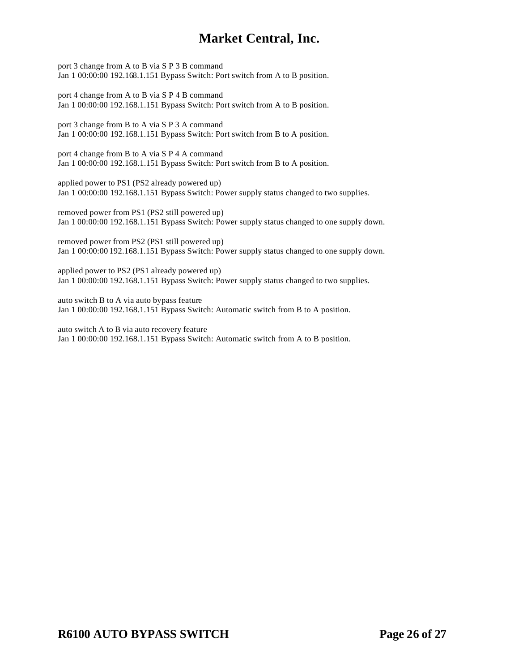port 3 change from A to B via S P 3 B command Jan 1 00:00:00 192.168.1.151 Bypass Switch: Port switch from A to B position.

port 4 change from A to B via S P 4 B command Jan 1 00:00:00 192.168.1.151 Bypass Switch: Port switch from A to B position.

port 3 change from B to A via S P 3 A command Jan 1 00:00:00 192.168.1.151 Bypass Switch: Port switch from B to A position.

port 4 change from B to A via S P 4 A command Jan 1 00:00:00 192.168.1.151 Bypass Switch: Port switch from B to A position.

applied power to PS1 (PS2 already powered up) Jan 1 00:00:00 192.168.1.151 Bypass Switch: Power supply status changed to two supplies.

removed power from PS1 (PS2 still powered up) Jan 1 00:00:00 192.168.1.151 Bypass Switch: Power supply status changed to one supply down.

removed power from PS2 (PS1 still powered up) Jan 1 00:00:00 192.168.1.151 Bypass Switch: Power supply status changed to one supply down.

applied power to PS2 (PS1 already powered up) Jan 1 00:00:00 192.168.1.151 Bypass Switch: Power supply status changed to two supplies.

auto switch B to A via auto bypass feature Jan 1 00:00:00 192.168.1.151 Bypass Switch: Automatic switch from B to A position.

auto switch A to B via auto recovery feature Jan 1 00:00:00 192.168.1.151 Bypass Switch: Automatic switch from A to B position.